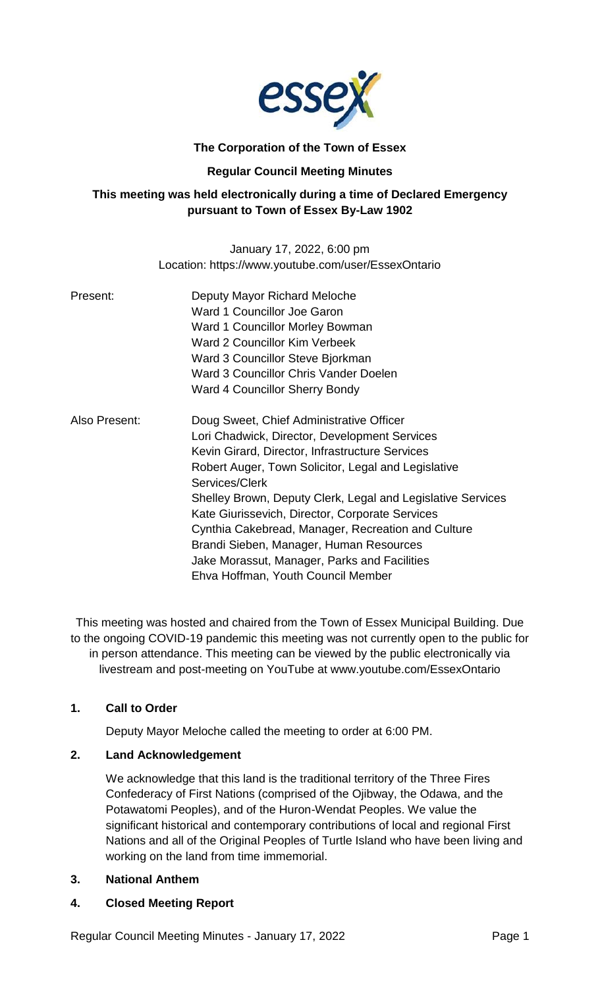

# **The Corporation of the Town of Essex**

# **Regular Council Meeting Minutes**

# **This meeting was held electronically during a time of Declared Emergency pursuant to Town of Essex By-Law 1902**

January 17, 2022, 6:00 pm Location: https://www.youtube.com/user/EssexOntario

| Present:      | Deputy Mayor Richard Meloche                                |
|---------------|-------------------------------------------------------------|
|               | Ward 1 Councillor Joe Garon                                 |
|               | Ward 1 Councillor Morley Bowman                             |
|               | Ward 2 Councillor Kim Verbeek                               |
|               | Ward 3 Councillor Steve Bjorkman                            |
|               | Ward 3 Councillor Chris Vander Doelen                       |
|               | Ward 4 Councillor Sherry Bondy                              |
| Also Present: | Doug Sweet, Chief Administrative Officer                    |
|               | Lori Chadwick, Director, Development Services               |
|               | Kevin Girard, Director, Infrastructure Services             |
|               | Robert Auger, Town Solicitor, Legal and Legislative         |
|               | Services/Clerk                                              |
|               | Shelley Brown, Deputy Clerk, Legal and Legislative Services |
|               | Kate Giurissevich, Director, Corporate Services             |
|               | Cynthia Cakebread, Manager, Recreation and Culture          |
|               | Brandi Sieben, Manager, Human Resources                     |
|               | Jake Morassut, Manager, Parks and Facilities                |
|               | Ehva Hoffman, Youth Council Member                          |

This meeting was hosted and chaired from the Town of Essex Municipal Building. Due to the ongoing COVID-19 pandemic this meeting was not currently open to the public for in person attendance. This meeting can be viewed by the public electronically via livestream and post-meeting on YouTube at www.youtube.com/EssexOntario

# **1. Call to Order**

Deputy Mayor Meloche called the meeting to order at 6:00 PM.

### **2. Land Acknowledgement**

We acknowledge that this land is the traditional territory of the Three Fires Confederacy of First Nations (comprised of the Ojibway, the Odawa, and the Potawatomi Peoples), and of the Huron-Wendat Peoples. We value the significant historical and contemporary contributions of local and regional First Nations and all of the Original Peoples of Turtle Island who have been living and working on the land from time immemorial.

### **3. National Anthem**

### **4. Closed Meeting Report**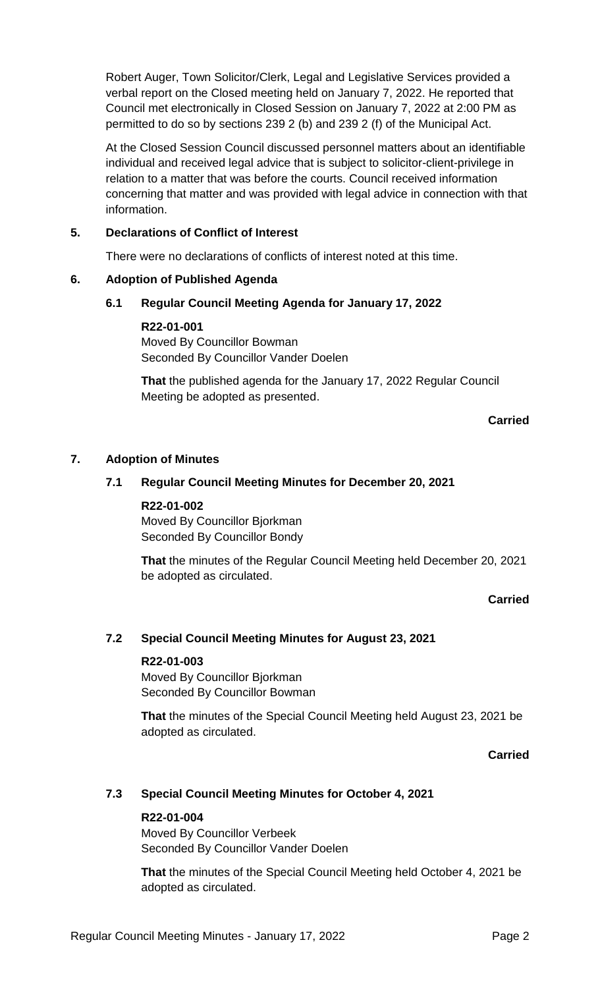Robert Auger, Town Solicitor/Clerk, Legal and Legislative Services provided a verbal report on the Closed meeting held on January 7, 2022. He reported that Council met electronically in Closed Session on January 7, 2022 at 2:00 PM as permitted to do so by sections 239 2 (b) and 239 2 (f) of the Municipal Act.

At the Closed Session Council discussed personnel matters about an identifiable individual and received legal advice that is subject to solicitor-client-privilege in relation to a matter that was before the courts. Council received information concerning that matter and was provided with legal advice in connection with that information.

# **5. Declarations of Conflict of Interest**

There were no declarations of conflicts of interest noted at this time.

# **6. Adoption of Published Agenda**

# **6.1 Regular Council Meeting Agenda for January 17, 2022**

**R22-01-001** Moved By Councillor Bowman Seconded By Councillor Vander Doelen

**That** the published agenda for the January 17, 2022 Regular Council Meeting be adopted as presented.

# **Carried**

# **7. Adoption of Minutes**

# **7.1 Regular Council Meeting Minutes for December 20, 2021**

### **R22-01-002**

Moved By Councillor Bjorkman Seconded By Councillor Bondy

**That** the minutes of the Regular Council Meeting held December 20, 2021 be adopted as circulated.

### **Carried**

### **7.2 Special Council Meeting Minutes for August 23, 2021**

### **R22-01-003**

Moved By Councillor Bjorkman Seconded By Councillor Bowman

**That** the minutes of the Special Council Meeting held August 23, 2021 be adopted as circulated.

**Carried**

# **7.3 Special Council Meeting Minutes for October 4, 2021**

### **R22-01-004**

Moved By Councillor Verbeek Seconded By Councillor Vander Doelen

**That** the minutes of the Special Council Meeting held October 4, 2021 be adopted as circulated.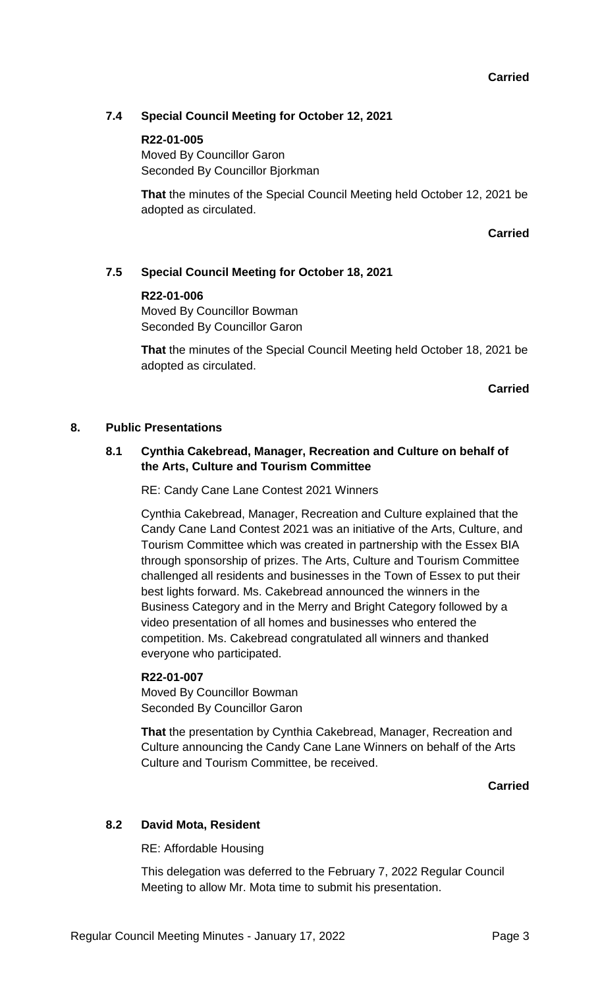# **7.4 Special Council Meeting for October 12, 2021**

### **R22-01-005**

Moved By Councillor Garon Seconded By Councillor Bjorkman

**That** the minutes of the Special Council Meeting held October 12, 2021 be adopted as circulated.

**Carried**

### **7.5 Special Council Meeting for October 18, 2021**

#### **R22-01-006**

Moved By Councillor Bowman Seconded By Councillor Garon

**That** the minutes of the Special Council Meeting held October 18, 2021 be adopted as circulated.

**Carried**

### **8. Public Presentations**

## **8.1 Cynthia Cakebread, Manager, Recreation and Culture on behalf of the Arts, Culture and Tourism Committee**

RE: Candy Cane Lane Contest 2021 Winners

Cynthia Cakebread, Manager, Recreation and Culture explained that the Candy Cane Land Contest 2021 was an initiative of the Arts, Culture, and Tourism Committee which was created in partnership with the Essex BIA through sponsorship of prizes. The Arts, Culture and Tourism Committee challenged all residents and businesses in the Town of Essex to put their best lights forward. Ms. Cakebread announced the winners in the Business Category and in the Merry and Bright Category followed by a video presentation of all homes and businesses who entered the competition. Ms. Cakebread congratulated all winners and thanked everyone who participated.

#### **R22-01-007**

Moved By Councillor Bowman Seconded By Councillor Garon

**That** the presentation by Cynthia Cakebread, Manager, Recreation and Culture announcing the Candy Cane Lane Winners on behalf of the Arts Culture and Tourism Committee, be received.

**Carried**

### **8.2 David Mota, Resident**

RE: Affordable Housing

This delegation was deferred to the February 7, 2022 Regular Council Meeting to allow Mr. Mota time to submit his presentation.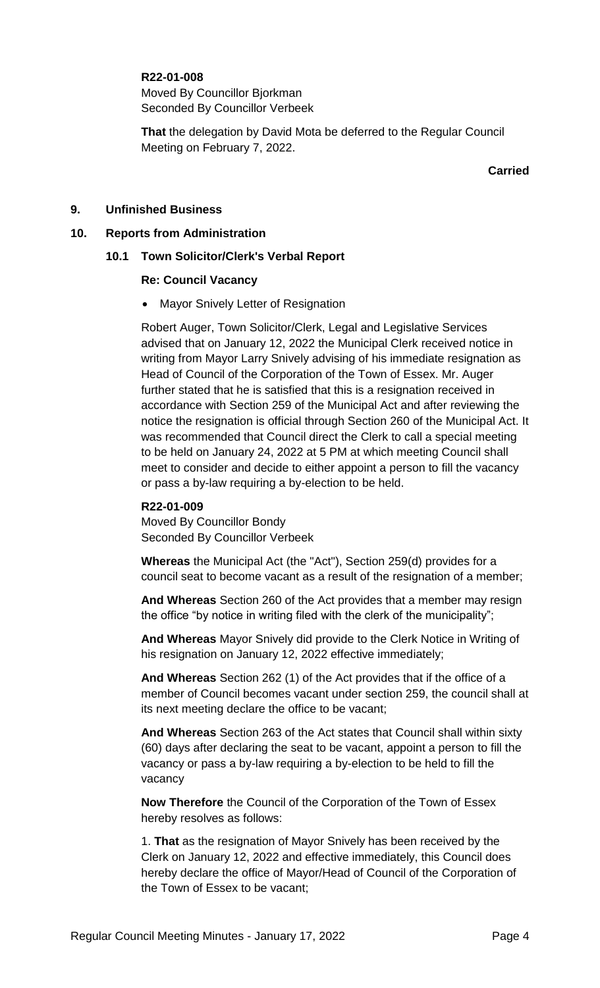### **R22-01-008**

Moved By Councillor Bjorkman Seconded By Councillor Verbeek

**That** the delegation by David Mota be deferred to the Regular Council Meeting on February 7, 2022.

**Carried**

### **9. Unfinished Business**

#### **10. Reports from Administration**

#### **10.1 Town Solicitor/Clerk's Verbal Report**

#### **Re: Council Vacancy**

• Mayor Snively Letter of Resignation

Robert Auger, Town Solicitor/Clerk, Legal and Legislative Services advised that on January 12, 2022 the Municipal Clerk received notice in writing from Mayor Larry Snively advising of his immediate resignation as Head of Council of the Corporation of the Town of Essex. Mr. Auger further stated that he is satisfied that this is a resignation received in accordance with Section 259 of the Municipal Act and after reviewing the notice the resignation is official through Section 260 of the Municipal Act. It was recommended that Council direct the Clerk to call a special meeting to be held on January 24, 2022 at 5 PM at which meeting Council shall meet to consider and decide to either appoint a person to fill the vacancy or pass a by-law requiring a by-election to be held.

#### **R22-01-009**

Moved By Councillor Bondy Seconded By Councillor Verbeek

**Whereas** the Municipal Act (the "Act"), Section 259(d) provides for a council seat to become vacant as a result of the resignation of a member;

**And Whereas** Section 260 of the Act provides that a member may resign the office "by notice in writing filed with the clerk of the municipality";

**And Whereas** Mayor Snively did provide to the Clerk Notice in Writing of his resignation on January 12, 2022 effective immediately;

**And Whereas** Section 262 (1) of the Act provides that if the office of a member of Council becomes vacant under section 259, the council shall at its next meeting declare the office to be vacant;

**And Whereas** Section 263 of the Act states that Council shall within sixty (60) days after declaring the seat to be vacant, appoint a person to fill the vacancy or pass a by-law requiring a by-election to be held to fill the vacancy

**Now Therefore** the Council of the Corporation of the Town of Essex hereby resolves as follows:

1. **That** as the resignation of Mayor Snively has been received by the Clerk on January 12, 2022 and effective immediately, this Council does hereby declare the office of Mayor/Head of Council of the Corporation of the Town of Essex to be vacant;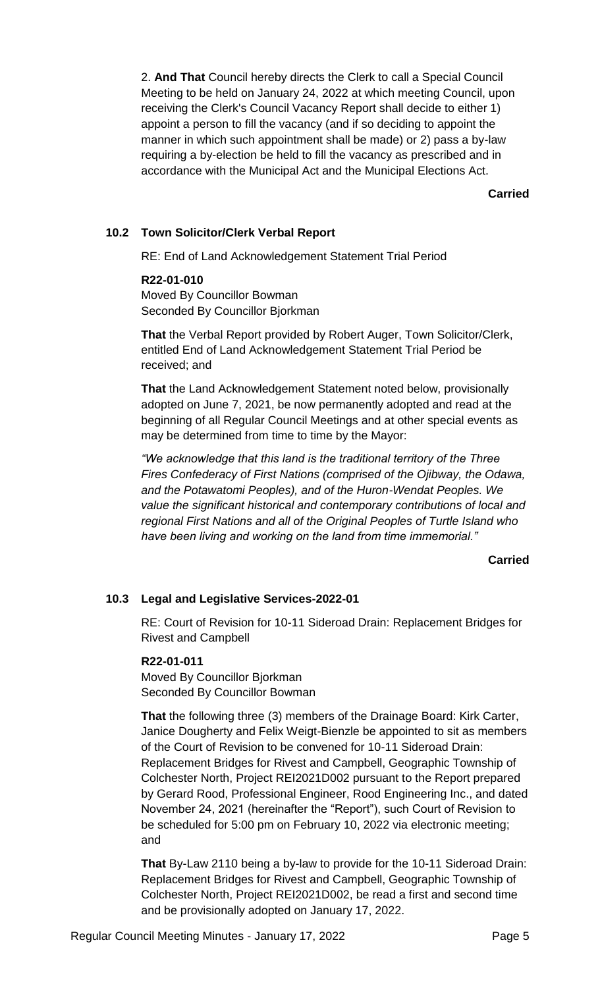2. **And That** Council hereby directs the Clerk to call a Special Council Meeting to be held on January 24, 2022 at which meeting Council, upon receiving the Clerk's Council Vacancy Report shall decide to either 1) appoint a person to fill the vacancy (and if so deciding to appoint the manner in which such appointment shall be made) or 2) pass a by-law requiring a by-election be held to fill the vacancy as prescribed and in accordance with the Municipal Act and the Municipal Elections Act.

**Carried**

# **10.2 Town Solicitor/Clerk Verbal Report**

RE: End of Land Acknowledgement Statement Trial Period

#### **R22-01-010**

Moved By Councillor Bowman Seconded By Councillor Bjorkman

**That** the Verbal Report provided by Robert Auger, Town Solicitor/Clerk, entitled End of Land Acknowledgement Statement Trial Period be received; and

**That** the Land Acknowledgement Statement noted below, provisionally adopted on June 7, 2021, be now permanently adopted and read at the beginning of all Regular Council Meetings and at other special events as may be determined from time to time by the Mayor:

*"We acknowledge that this land is the traditional territory of the Three Fires Confederacy of First Nations (comprised of the Ojibway, the Odawa, and the Potawatomi Peoples), and of the Huron-Wendat Peoples. We value the significant historical and contemporary contributions of local and regional First Nations and all of the Original Peoples of Turtle Island who have been living and working on the land from time immemorial."*

### **Carried**

### **10.3 Legal and Legislative Services-2022-01**

RE: Court of Revision for 10-11 Sideroad Drain: Replacement Bridges for Rivest and Campbell

#### **R22-01-011**

Moved By Councillor Bjorkman Seconded By Councillor Bowman

**That** the following three (3) members of the Drainage Board: Kirk Carter, Janice Dougherty and Felix Weigt-Bienzle be appointed to sit as members of the Court of Revision to be convened for 10-11 Sideroad Drain: Replacement Bridges for Rivest and Campbell, Geographic Township of Colchester North, Project REI2021D002 pursuant to the Report prepared by Gerard Rood, Professional Engineer, Rood Engineering Inc., and dated November 24, 2021 (hereinafter the "Report"), such Court of Revision to be scheduled for 5:00 pm on February 10, 2022 via electronic meeting; and

**That** By-Law 2110 being a by-law to provide for the 10-11 Sideroad Drain: Replacement Bridges for Rivest and Campbell, Geographic Township of Colchester North, Project REI2021D002, be read a first and second time and be provisionally adopted on January 17, 2022.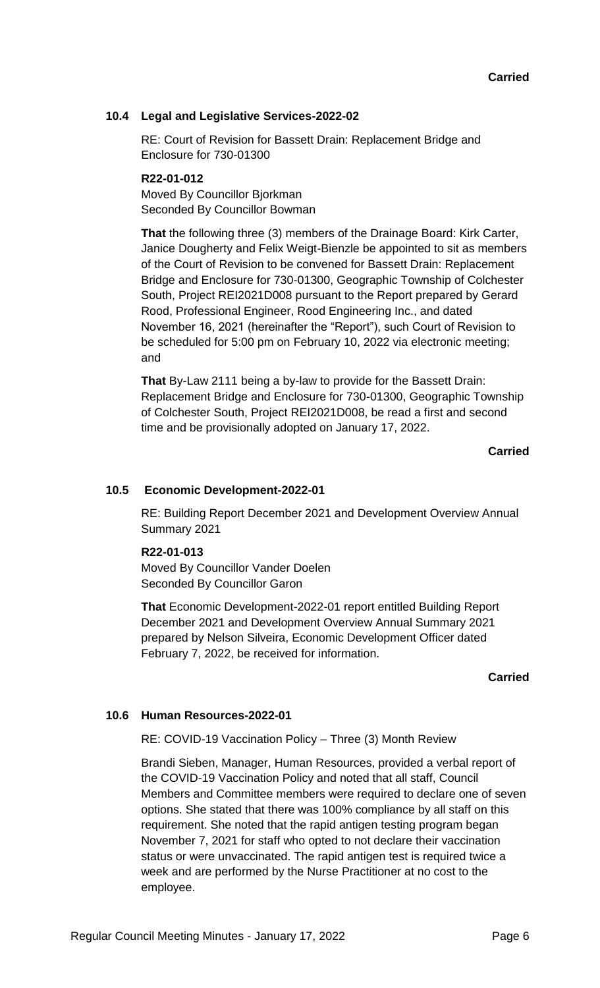# **10.4 Legal and Legislative Services-2022-02**

RE: Court of Revision for Bassett Drain: Replacement Bridge and Enclosure for 730-01300

### **R22-01-012**

Moved By Councillor Bjorkman Seconded By Councillor Bowman

**That** the following three (3) members of the Drainage Board: Kirk Carter, Janice Dougherty and Felix Weigt-Bienzle be appointed to sit as members of the Court of Revision to be convened for Bassett Drain: Replacement Bridge and Enclosure for 730-01300, Geographic Township of Colchester South, Project REI2021D008 pursuant to the Report prepared by Gerard Rood, Professional Engineer, Rood Engineering Inc., and dated November 16, 2021 (hereinafter the "Report"), such Court of Revision to be scheduled for 5:00 pm on February 10, 2022 via electronic meeting; and

**That** By-Law 2111 being a by-law to provide for the Bassett Drain: Replacement Bridge and Enclosure for 730-01300, Geographic Township of Colchester South, Project REI2021D008, be read a first and second time and be provisionally adopted on January 17, 2022.

**Carried**

### **10.5 Economic Development-2022-01**

RE: Building Report December 2021 and Development Overview Annual Summary 2021

#### **R22-01-013**

Moved By Councillor Vander Doelen Seconded By Councillor Garon

**That** Economic Development-2022-01 report entitled Building Report December 2021 and Development Overview Annual Summary 2021 prepared by Nelson Silveira, Economic Development Officer dated February 7, 2022, be received for information.

#### **Carried**

#### **10.6 Human Resources-2022-01**

RE: COVID-19 Vaccination Policy – Three (3) Month Review

Brandi Sieben, Manager, Human Resources, provided a verbal report of the COVID-19 Vaccination Policy and noted that all staff, Council Members and Committee members were required to declare one of seven options. She stated that there was 100% compliance by all staff on this requirement. She noted that the rapid antigen testing program began November 7, 2021 for staff who opted to not declare their vaccination status or were unvaccinated. The rapid antigen test is required twice a week and are performed by the Nurse Practitioner at no cost to the employee.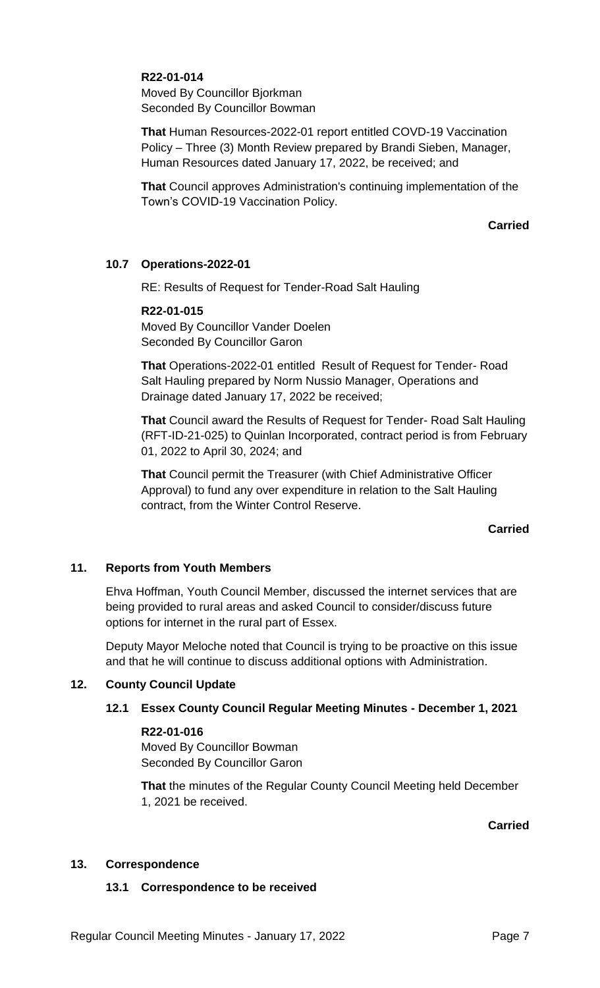## **R22-01-014**

Moved By Councillor Bjorkman Seconded By Councillor Bowman

**That** Human Resources-2022-01 report entitled COVD-19 Vaccination Policy – Three (3) Month Review prepared by Brandi Sieben, Manager, Human Resources dated January 17, 2022, be received; and

**That** Council approves Administration's continuing implementation of the Town's COVID-19 Vaccination Policy.

## **Carried**

# **10.7 Operations-2022-01**

RE: Results of Request for Tender-Road Salt Hauling

### **R22-01-015**

Moved By Councillor Vander Doelen Seconded By Councillor Garon

**That** Operations-2022-01 entitled Result of Request for Tender- Road Salt Hauling prepared by Norm Nussio Manager, Operations and Drainage dated January 17, 2022 be received;

**That** Council award the Results of Request for Tender- Road Salt Hauling (RFT-ID-21-025) to Quinlan Incorporated, contract period is from February 01, 2022 to April 30, 2024; and

**That** Council permit the Treasurer (with Chief Administrative Officer Approval) to fund any over expenditure in relation to the Salt Hauling contract, from the Winter Control Reserve.

### **Carried**

### **11. Reports from Youth Members**

Ehva Hoffman, Youth Council Member, discussed the internet services that are being provided to rural areas and asked Council to consider/discuss future options for internet in the rural part of Essex.

Deputy Mayor Meloche noted that Council is trying to be proactive on this issue and that he will continue to discuss additional options with Administration.

### **12. County Council Update**

# **12.1 Essex County Council Regular Meeting Minutes - December 1, 2021**

### **R22-01-016**

Moved By Councillor Bowman Seconded By Councillor Garon

**That** the minutes of the Regular County Council Meeting held December 1, 2021 be received.

### **Carried**

### **13. Correspondence**

### **13.1 Correspondence to be received**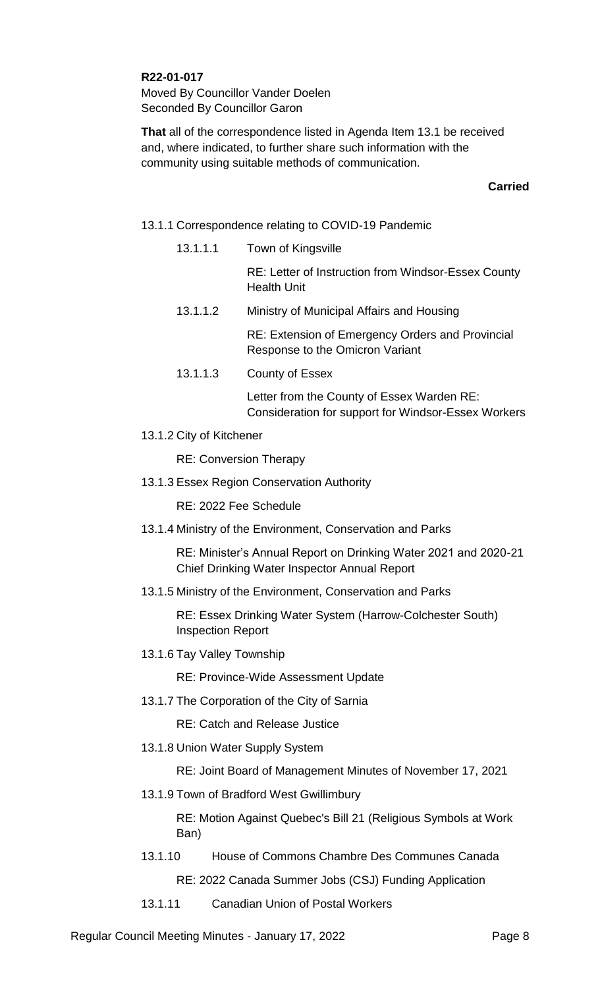## **R22-01-017**

Moved By Councillor Vander Doelen Seconded By Councillor Garon

**That** all of the correspondence listed in Agenda Item 13.1 be received and, where indicated, to further share such information with the community using suitable methods of communication.

### **Carried**

### 13.1.1 Correspondence relating to COVID-19 Pandemic

13.1.1.1 Town of Kingsville

RE: Letter of Instruction from Windsor-Essex County Health Unit

13.1.1.2 Ministry of Municipal Affairs and Housing

RE: Extension of Emergency Orders and Provincial Response to the Omicron Variant

13.1.1.3 County of Essex

Letter from the County of Essex Warden RE: Consideration for support for Windsor-Essex Workers

13.1.2 City of Kitchener

RE: Conversion Therapy

13.1.3 Essex Region Conservation Authority

RE: 2022 Fee Schedule

13.1.4 Ministry of the Environment, Conservation and Parks

RE: Minister's Annual Report on Drinking Water 2021 and 2020-21 Chief Drinking Water Inspector Annual Report

13.1.5 Ministry of the Environment, Conservation and Parks

RE: Essex Drinking Water System (Harrow-Colchester South) Inspection Report

13.1.6 Tay Valley Township

RE: Province-Wide Assessment Update

13.1.7 The Corporation of the City of Sarnia

RE: Catch and Release Justice

13.1.8 Union Water Supply System

RE: Joint Board of Management Minutes of November 17, 2021

13.1.9 Town of Bradford West Gwillimbury

RE: Motion Against Quebec's Bill 21 (Religious Symbols at Work Ban)

13.1.10 House of Commons Chambre Des Communes Canada

RE: 2022 Canada Summer Jobs (CSJ) Funding Application

13.1.11 Canadian Union of Postal Workers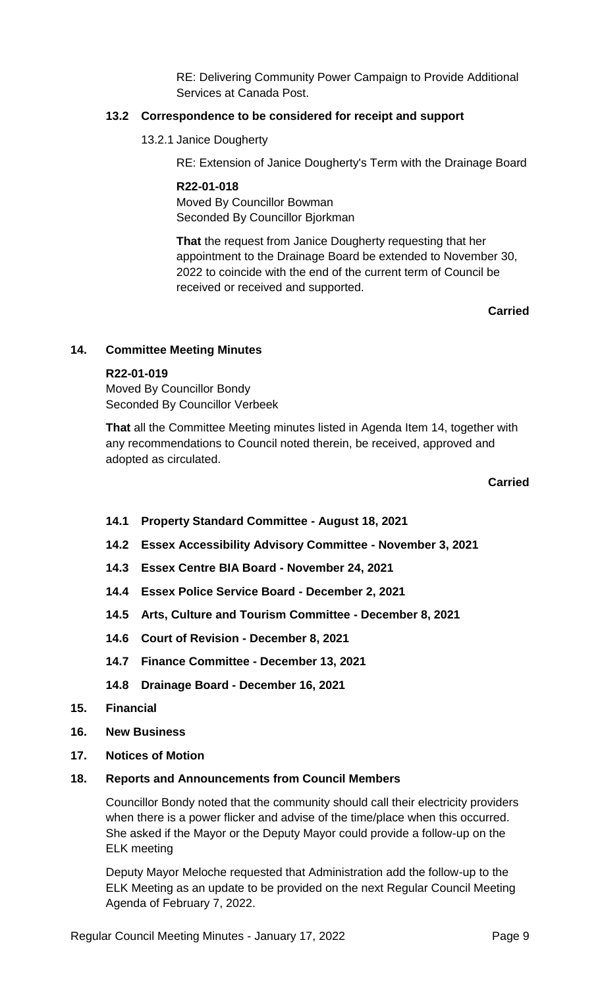RE: Delivering Community Power Campaign to Provide Additional Services at Canada Post.

### **13.2 Correspondence to be considered for receipt and support**

13.2.1 Janice Dougherty

RE: Extension of Janice Dougherty's Term with the Drainage Board

#### **R22-01-018**

Moved By Councillor Bowman Seconded By Councillor Bjorkman

**That** the request from Janice Dougherty requesting that her appointment to the Drainage Board be extended to November 30, 2022 to coincide with the end of the current term of Council be received or received and supported.

**Carried**

#### **14. Committee Meeting Minutes**

#### **R22-01-019**

Moved By Councillor Bondy Seconded By Councillor Verbeek

**That** all the Committee Meeting minutes listed in Agenda Item 14, together with any recommendations to Council noted therein, be received, approved and adopted as circulated.

#### **Carried**

- **14.1 Property Standard Committee - August 18, 2021**
- **14.2 Essex Accessibility Advisory Committee - November 3, 2021**
- **14.3 Essex Centre BIA Board - November 24, 2021**
- **14.4 Essex Police Service Board - December 2, 2021**
- **14.5 Arts, Culture and Tourism Committee - December 8, 2021**
- **14.6 Court of Revision - December 8, 2021**
- **14.7 Finance Committee - December 13, 2021**
- **14.8 Drainage Board - December 16, 2021**
- **15. Financial**
- **16. New Business**
- **17. Notices of Motion**
- **18. Reports and Announcements from Council Members**

Councillor Bondy noted that the community should call their electricity providers when there is a power flicker and advise of the time/place when this occurred. She asked if the Mayor or the Deputy Mayor could provide a follow-up on the ELK meeting

Deputy Mayor Meloche requested that Administration add the follow-up to the ELK Meeting as an update to be provided on the next Regular Council Meeting Agenda of February 7, 2022.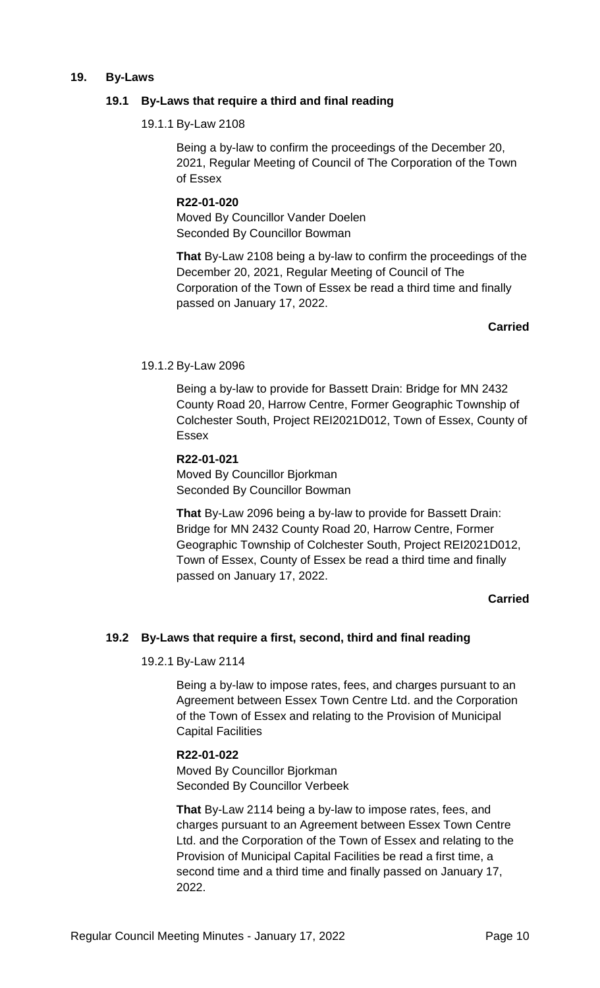#### **19. By-Laws**

### **19.1 By-Laws that require a third and final reading**

19.1.1 By-Law 2108

Being a by-law to confirm the proceedings of the December 20, 2021, Regular Meeting of Council of The Corporation of the Town of Essex

# **R22-01-020**

Moved By Councillor Vander Doelen Seconded By Councillor Bowman

**That** By-Law 2108 being a by-law to confirm the proceedings of the December 20, 2021, Regular Meeting of Council of The Corporation of the Town of Essex be read a third time and finally passed on January 17, 2022.

**Carried**

#### 19.1.2 By-Law 2096

Being a by-law to provide for Bassett Drain: Bridge for MN 2432 County Road 20, Harrow Centre, Former Geographic Township of Colchester South, Project REI2021D012, Town of Essex, County of Essex

### **R22-01-021** Moved By Councillor Bjorkman Seconded By Councillor Bowman

**That** By-Law 2096 being a by-law to provide for Bassett Drain: Bridge for MN 2432 County Road 20, Harrow Centre, Former Geographic Township of Colchester South, Project REI2021D012, Town of Essex, County of Essex be read a third time and finally passed on January 17, 2022.

### **Carried**

### **19.2 By-Laws that require a first, second, third and final reading**

19.2.1 By-Law 2114

Being a by-law to impose rates, fees, and charges pursuant to an Agreement between Essex Town Centre Ltd. and the Corporation of the Town of Essex and relating to the Provision of Municipal Capital Facilities

### **R22-01-022**

Moved By Councillor Bjorkman Seconded By Councillor Verbeek

**That** By-Law 2114 being a by-law to impose rates, fees, and charges pursuant to an Agreement between Essex Town Centre Ltd. and the Corporation of the Town of Essex and relating to the Provision of Municipal Capital Facilities be read a first time, a second time and a third time and finally passed on January 17, 2022.